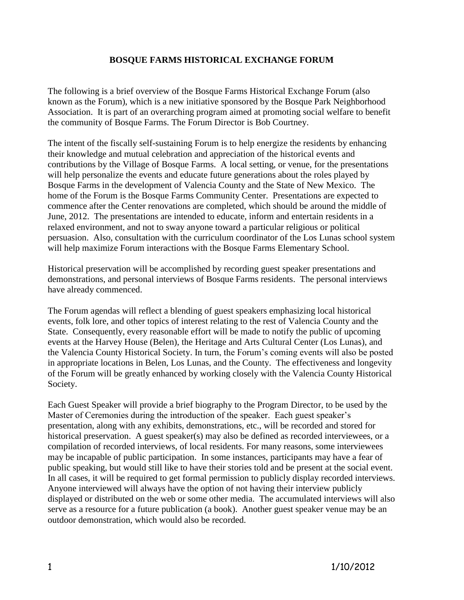## **BOSQUE FARMS HISTORICAL EXCHANGE FORUM**

The following is a brief overview of the Bosque Farms Historical Exchange Forum (also known as the Forum), which is a new initiative sponsored by the Bosque Park Neighborhood Association. It is part of an overarching program aimed at promoting social welfare to benefit the community of Bosque Farms. The Forum Director is Bob Courtney.

The intent of the fiscally self-sustaining Forum is to help energize the residents by enhancing their knowledge and mutual celebration and appreciation of the historical events and contributions by the Village of Bosque Farms. A local setting, or venue, for the presentations will help personalize the events and educate future generations about the roles played by Bosque Farms in the development of Valencia County and the State of New Mexico. The home of the Forum is the Bosque Farms Community Center. Presentations are expected to commence after the Center renovations are completed, which should be around the middle of June, 2012. The presentations are intended to educate, inform and entertain residents in a relaxed environment, and not to sway anyone toward a particular religious or political persuasion. Also, consultation with the curriculum coordinator of the Los Lunas school system will help maximize Forum interactions with the Bosque Farms Elementary School.

Historical preservation will be accomplished by recording guest speaker presentations and demonstrations, and personal interviews of Bosque Farms residents. The personal interviews have already commenced.

The Forum agendas will reflect a blending of guest speakers emphasizing local historical events, folk lore, and other topics of interest relating to the rest of Valencia County and the State. Consequently, every reasonable effort will be made to notify the public of upcoming events at the Harvey House (Belen), the Heritage and Arts Cultural Center (Los Lunas), and the Valencia County Historical Society. In turn, the Forum's coming events will also be posted in appropriate locations in Belen, Los Lunas, and the County. The effectiveness and longevity of the Forum will be greatly enhanced by working closely with the Valencia County Historical Society.

Each Guest Speaker will provide a brief biography to the Program Director, to be used by the Master of Ceremonies during the introduction of the speaker. Each guest speaker's presentation, along with any exhibits, demonstrations, etc., will be recorded and stored for historical preservation. A guest speaker(s) may also be defined as recorded interviewees, or a compilation of recorded interviews, of local residents. For many reasons, some interviewees may be incapable of public participation. In some instances, participants may have a fear of public speaking, but would still like to have their stories told and be present at the social event. In all cases, it will be required to get formal permission to publicly display recorded interviews. Anyone interviewed will always have the option of not having their interview publicly displayed or distributed on the web or some other media. The accumulated interviews will also serve as a resource for a future publication (a book). Another guest speaker venue may be an outdoor demonstration, which would also be recorded.